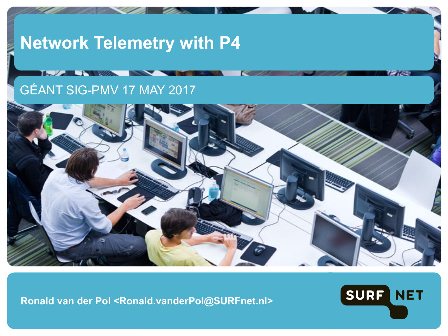#### **Network Telemetry with P4**

#### GÉANT SIG-PMV 17 MAY 2017



**Ronald van der Pol <Ronald.vanderPol@SURFnet.nl>**

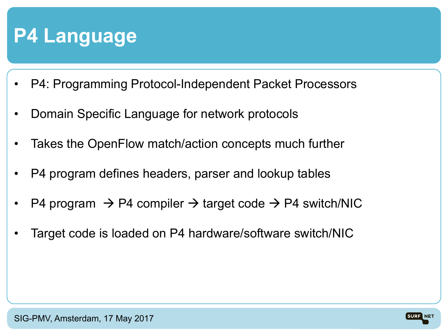## **P4 Language**

- P4: Programming Protocol-Independent Packet Processors
- Domain Specific Language for network protocols
- Takes the OpenFlow match/action concepts much further
- P4 program defines headers, parser and lookup tables
- P4 program  $\rightarrow$  P4 compiler  $\rightarrow$  target code  $\rightarrow$  P4 switch/NIC
- Target code is loaded on P4 hardware/software switch/NIC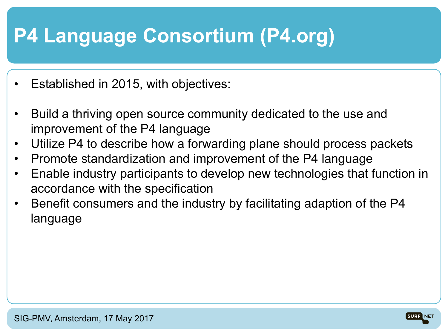# **P4 Language Consortium (P4.org)**

- Established in 2015, with objectives:
- Build a thriving open source community dedicated to the use and improvement of the P4 language
- Utilize P4 to describe how a forwarding plane should process packets
- Promote standardization and improvement of the P4 language
- Enable industry participants to develop new technologies that function in accordance with the specification
- Benefit consumers and the industry by facilitating adaption of the P4 language

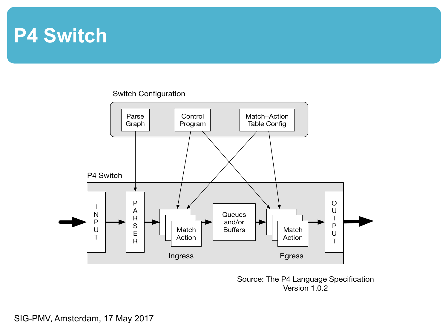#### **P4 Switch**

#### Switch Configuration



Source: The P4 Language Specification Version 1.0.2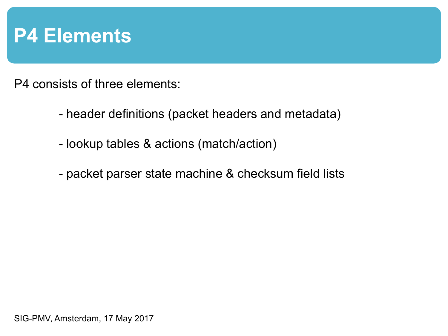#### **P4 Elements**

P4 consists of three elements:

- header definitions (packet headers and metadata)
- lookup tables & actions (match/action)
- packet parser state machine & checksum field lists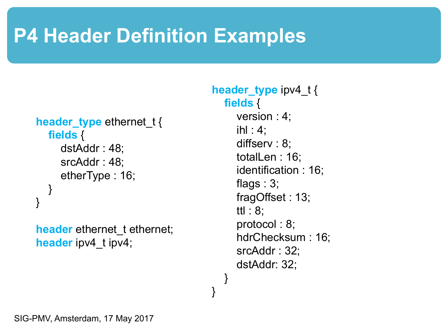# **P4 Header Definition Examples**

```
header type ethernet t {
  fields {
     dstAddr : 48;
     srcAddr : 48;
     etherType : 16;
  }
}
```
**header** ethernet t ethernet; **header** ipv4 t ipv4;

#### **header\_type** ipv4\_t { **fields** { version : 4;  $i$ hl : 4;

diffserv : 8; totalLen : 16; identification : 16; flags : 3; fragOffset : 13; ttl : 8; protocol : 8; hdrChecksum : 16; srcAddr : 32; dstAddr: 32;

}

}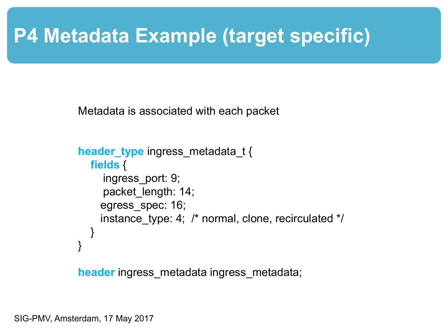### **P4 Metadata Example (target specific)**

Metadata is associated with each packet

```
header_type ingress_metadata_t {
  fields {
     ingress_port: 9;
     packet length: 14;
    egress_spec: 16;
    instance type: 4; \prime^* normal, clone, recirculated \prime\prime}
}
```
**header** ingress\_metadata ingress\_metadata;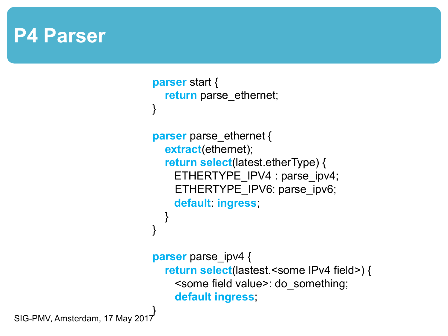#### **P4 Parser**

```
parser start {
  return parse ethernet;
}
parser parse ethernet {
  extract(ethernet);
  return select(latest.etherType) {
    ETHERTYPE_IPV4 : parse_ipv4;
    ETHERTYPE_IPV6: parse_ipv6;
    default: ingress;
  }
}
parser parse_ipv4 {
  return select(lastest.<some IPv4 field>) {
    <some field value>: do_something;
    default ingress;
```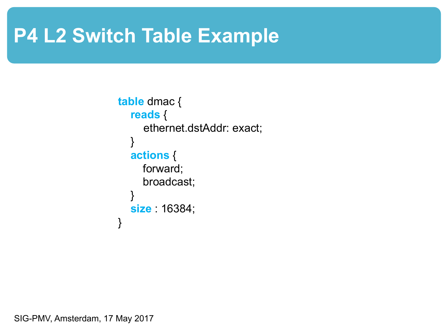## **P4 L2 Switch Table Example**

```
table dmac {
  reads {
     ethernet.dstAddr: exact;
  }
  actions {
     forward;
     broadcast;
  }
  size : 16384;
}
```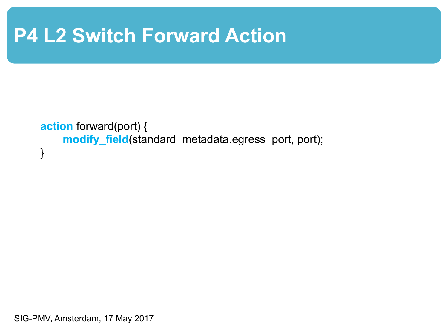## **P4 L2 Switch Forward Action**

```
action forward(port) {
    modify_field(standard_metadata.egress_port, port);
}
```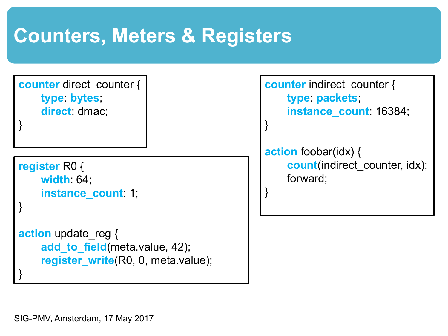# **Counters, Meters & Registers**

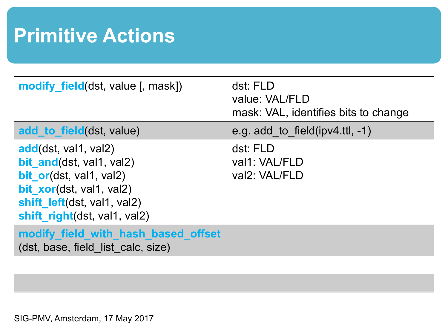# **Primitive Actions**

| <b>modify field</b> (dst, value [, mask])                                                                                                                                     | dst: FLD<br>value: VAL/FLD<br>mask: VAL, identifies bits to change |
|-------------------------------------------------------------------------------------------------------------------------------------------------------------------------------|--------------------------------------------------------------------|
| add to field(dst, value)                                                                                                                                                      | e.g. add to field $(ipv4$ .ttl, $-1$ )                             |
| add(dst, val1, val2)<br>bit and(dst, val1, val2)<br><b>bit or(dst, val1, val2)</b><br>bit_xor(dst, val1, val2)<br>shift left(dst, val1, val2)<br>shift_right(dst, val1, val2) | dst: FLD<br>val1: VAL/FLD<br>val2: VAL/FLD                         |
| modify_field_with_hash_based_offset<br>(dst, base, field list calc, size)                                                                                                     |                                                                    |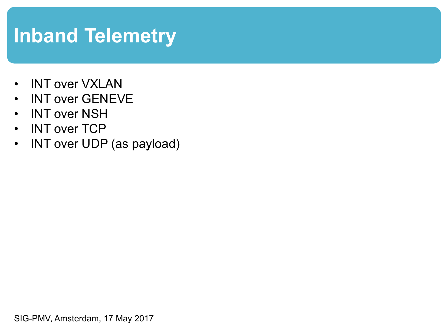# **Inband Telemetry**

- INT over VXLAN
- INT over GENEVE
- INT over NSH
- INT over TCP
- INT over UDP (as payload)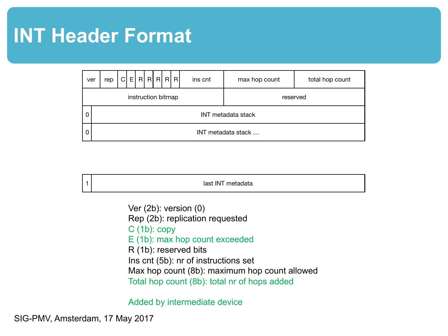#### **INT Header Format**

| ver                | rep                       | $\mathsf{C}$ |  |  |  |  |  | E[R R R R | ins cnt | max hop count | total hop count |
|--------------------|---------------------------|--------------|--|--|--|--|--|-----------|---------|---------------|-----------------|
| instruction bitmap |                           |              |  |  |  |  |  |           |         | reserved      |                 |
| 0                  | <b>INT</b> metadata stack |              |  |  |  |  |  |           |         |               |                 |
| 0                  | INT metadata stack        |              |  |  |  |  |  |           |         |               |                 |

1 **last INT** metadata

Ver (2b): version (0) Rep (2b): replication requested C (1b): copy E (1b): max hop count exceeded R (1b): reserved bits Ins cnt (5b): nr of instructions set Max hop count (8b): maximum hop count allowed Total hop count (8b): total nr of hops added

Added by intermediate device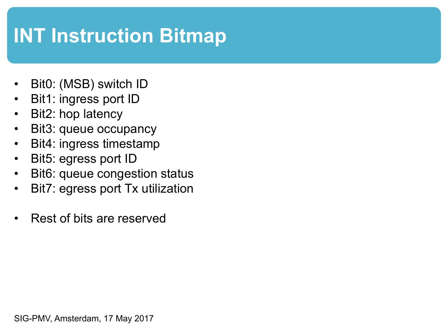# **INT Instruction Bitmap**

- Bit0: (MSB) switch **ID**
- Bit1: ingress port ID
- Bit2: hop latency
- Bit3: queue occupancy
- Bit4: ingress timestamp
- Bit5: egress port ID
- Bit6: queue congestion status
- Bit7: egress port Tx utilization
- Rest of bits are reserved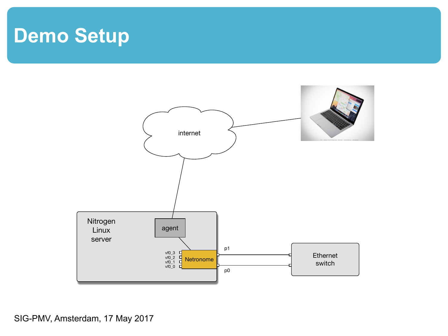### **Demo Setup**

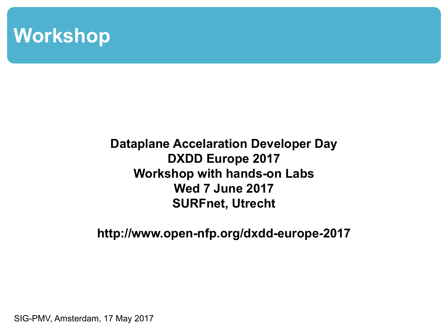#### **Workshop**

#### **Dataplane Accelaration Developer Day DXDD Europe 2017 Workshop with hands-on Labs Wed 7 June 2017 SURFnet, Utrecht**

**http://www.open-nfp.org/dxdd-europe-2017**